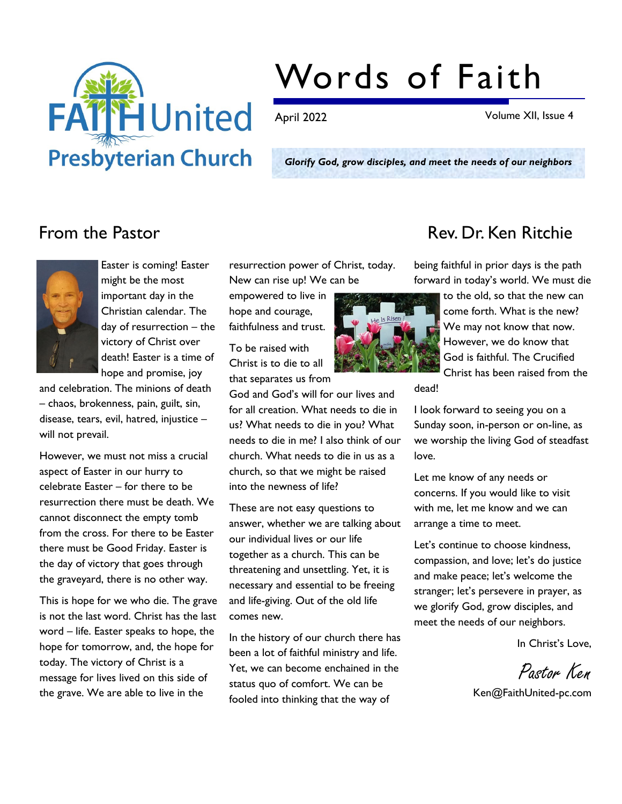

# Words of Faith

April 2022 Volume XII, Issue 4

Glorify God, grow disciples, and meet the needs of our neighbors

dead!



Easter is coming! Easter might be the most important day in the Christian calendar. The day of resurrection – the victory of Christ over death! Easter is a time of hope and promise, joy

and celebration. The minions of death – chaos, brokenness, pain, guilt, sin, disease, tears, evil, hatred, injustice – will not prevail.

However, we must not miss a crucial aspect of Easter in our hurry to celebrate Easter – for there to be resurrection there must be death. We cannot disconnect the empty tomb from the cross. For there to be Easter there must be Good Friday. Easter is the day of victory that goes through the graveyard, there is no other way.

This is hope for we who die. The grave is not the last word. Christ has the last word – life. Easter speaks to hope, the hope for tomorrow, and, the hope for today. The victory of Christ is a message for lives lived on this side of the grave. We are able to live in the

resurrection power of Christ, today. New can rise up! We can be

empowered to live in hope and courage, faithfulness and trust.

To be raised with Christ is to die to all that separates us from

God and God's will for our lives and for all creation. What needs to die in us? What needs to die in you? What needs to die in me? I also think of our church. What needs to die in us as a church, so that we might be raised into the newness of life?

These are not easy questions to answer, whether we are talking about our individual lives or our life together as a church. This can be threatening and unsettling. Yet, it is necessary and essential to be freeing and life-giving. Out of the old life comes new.

In the history of our church there has been a lot of faithful ministry and life. Yet, we can become enchained in the status quo of comfort. We can be fooled into thinking that the way of

### From the Pastor **Rev. Dr. Ken Ritchie**

being faithful in prior days is the path forward in today's world. We must die



to the old, so that the new can come forth. What is the new? We may not know that now. However, we do know that God is faithful. The Crucified Christ has been raised from the

I look forward to seeing you on a Sunday soon, in-person or on-line, as we worship the living God of steadfast love.

Let me know of any needs or concerns. If you would like to visit with me, let me know and we can arrange a time to meet.

Let's continue to choose kindness, compassion, and love; let's do justice and make peace; let's welcome the stranger; let's persevere in prayer, as we glorify God, grow disciples, and meet the needs of our neighbors.

In Christ's Love,

Pastor Ken

Ken@FaithUnited-pc.com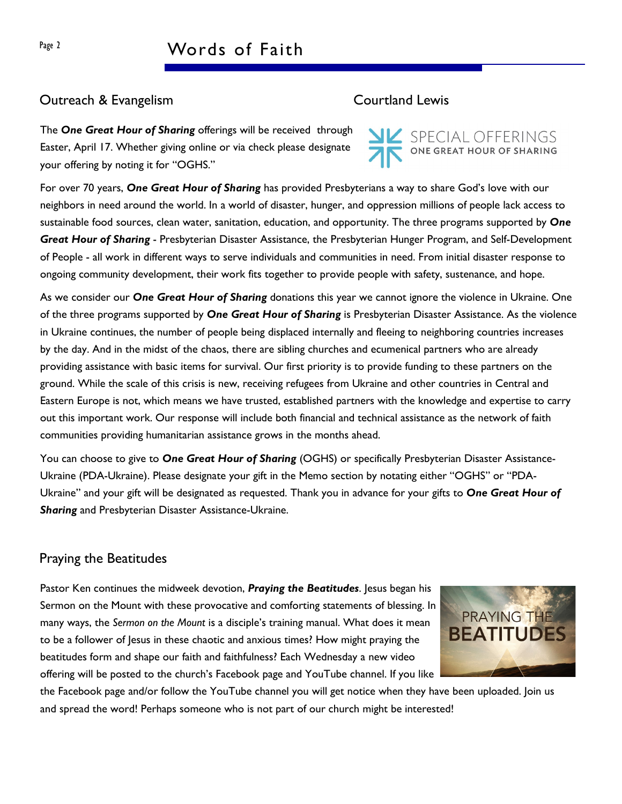#### Outreach & Evangelism Courtland Lewis

The One Great Hour of Sharing offerings will be received through Easter, April 17. Whether giving online or via check please designate your offering by noting it for "OGHS."

For over 70 years, One Great Hour of Sharing has provided Presbyterians a way to share God's love with our neighbors in need around the world. In a world of disaster, hunger, and oppression millions of people lack access to sustainable food sources, clean water, sanitation, education, and opportunity. The three programs supported by One Great Hour of Sharing - Presbyterian Disaster Assistance, the Presbyterian Hunger Program, and Self-Development of People - all work in different ways to serve individuals and communities in need. From initial disaster response to ongoing community development, their work fits together to provide people with safety, sustenance, and hope.

As we consider our One Great Hour of Sharing donations this year we cannot ignore the violence in Ukraine. One of the three programs supported by One Great Hour of Sharing is Presbyterian Disaster Assistance. As the violence in Ukraine continues, the number of people being displaced internally and fleeing to neighboring countries increases by the day. And in the midst of the chaos, there are sibling churches and ecumenical partners who are already providing assistance with basic items for survival. Our first priority is to provide funding to these partners on the ground. While the scale of this crisis is new, receiving refugees from Ukraine and other countries in Central and Eastern Europe is not, which means we have trusted, established partners with the knowledge and expertise to carry out this important work. Our response will include both financial and technical assistance as the network of faith communities providing humanitarian assistance grows in the months ahead.

You can choose to give to One Great Hour of Sharing (OGHS) or specifically Presbyterian Disaster Assistance-Ukraine (PDA-Ukraine). Please designate your gift in the Memo section by notating either "OGHS" or "PDA-Ukraine" and your gift will be designated as requested. Thank you in advance for your gifts to One Great Hour of **Sharing and Presbyterian Disaster Assistance-Ukraine.** 

#### Praying the Beatitudes

Pastor Ken continues the midweek devotion, Praying the Beatitudes. Jesus began his Sermon on the Mount with these provocative and comforting statements of blessing. In many ways, the Sermon on the Mount is a disciple's training manual. What does it mean to be a follower of Jesus in these chaotic and anxious times? How might praying the beatitudes form and shape our faith and faithfulness? Each Wednesday a new video offering will be posted to the church's Facebook page and YouTube channel. If you like

**PRAYING THE BEATITUDES** 

the Facebook page and/or follow the YouTube channel you will get notice when they have been uploaded. Join us and spread the word! Perhaps someone who is not part of our church might be interested!

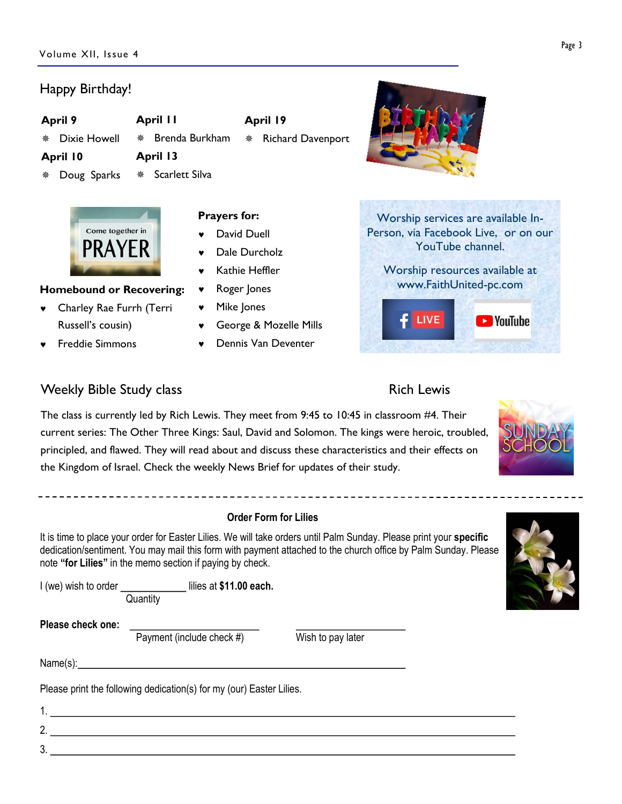#### Happy Birthday!

Dixie Howell  $*$  Brenda Burkham

### April 13

April 11

- April 10 \* Doug Sparks
- \* Scarlett Silva



#### Homebound or Recovering:

- © Charley Rae Furrh (Terri Russell's cousin)
- © Freddie Simmons

#### Prayers for:

- © David Duell
- Dale Durcholz
- Kathie Heffler
- Roger Jones
- © Mike Jones
- © George & Mozelle Mills

April 19

¯ Richard Davenport

© Dennis Van Deventer







#### Weekly Bible Study class **Rich Lewis** Rich Lewis

### The class is currently led by Rich Lewis. They meet from 9:45 to 10:45 in classroom #4. Their current series: The Other Three Kings: Saul, David and Solomon. The kings were heroic, troubled, principled, and flawed. They will read about and discuss these characteristics and their effects on the Kingdom of Israel. Check the weekly News Brief for updates of their study.

#### Order Form for Lilies

It is time to place your order for Easter Lilies. We will take orders until Palm Sunday. Please print your specific dedication/sentiment. You may mail this form with payment attached to the church office by Palm Sunday. Please note "for Lilies" in the memo section if paying by check.

I (we) wish to order \_\_\_\_\_\_\_\_\_\_\_\_\_\_\_ lilies at \$11.00 each. **Quantity** 

Please check one:

Payment (include check  $#$ ) Wish to pay later

3.

Name(s): Name (s) = Name (s) = Name (s) = Name (s) = Name (s) = Name (s) = Name (s) = Name (s) = Name (s) = Name (s) = Name (s) = Name (s) = Name (s) = Name (s) = Name (s) = Name (s) = Name (s) = Name (s) = Name (s) = Name

Please print the following dedication(s) for my (our) Easter Lilies.

## 1. 2.





Page 3